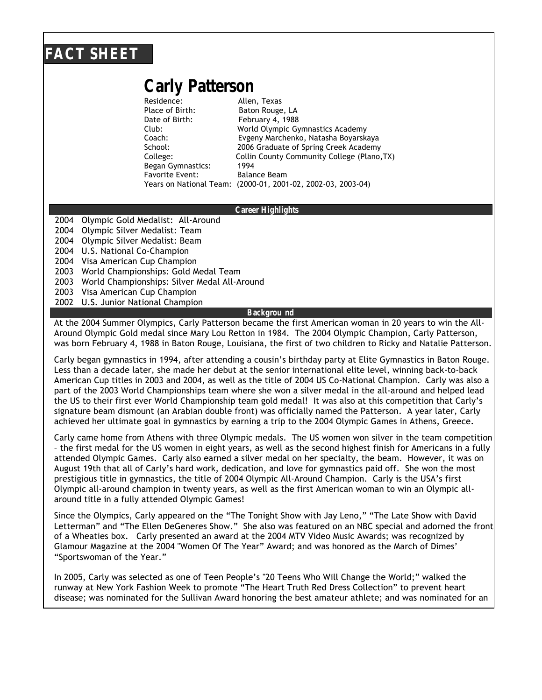## **FACT SHEET**

# **Carly Patterson**

Residence: Allen, Texas Place of Birth: Baton Rouge, LA Date of Birth: February 4, 1988 Began Gymnastics: 1994 Favorite Event: Balance Beam Years on National Team: (2000-01, 2001-02, 2002-03, 2003-04)

Club: World Olympic Gymnastics Academy Coach: Evgeny Marchenko, Natasha Boyarskaya School: 2006 Graduate of Spring Creek Academy College: Collin County Community College (Plano,TX)

### **Career Highlights**

2004 Olympic Gold Medalist: All-Around

2004 Olympic Silver Medalist: Team

2004 Olympic Silver Medalist: Beam

2004 U.S. National Co-Champion

2004 Visa American Cup Champion

2003 World Championships: Gold Medal Team

2003 World Championships: Silver Medal All-Around

2003 Visa American Cup Champion

2002 U.S. Junior National Champion

#### **Backgrou nd**

At the 2004 Summer Olympics, Carly Patterson became the first American woman in 20 years to win the All-Around Olympic Gold medal since Mary Lou Retton in 1984. The 2004 Olympic Champion, Carly Patterson, was born February 4, 1988 in Baton Rouge, Louisiana, the first of two children to Ricky and Natalie Patterson.

Carly began gymnastics in 1994, after attending a cousin's birthday party at Elite Gymnastics in Baton Rouge. Less than a decade later, she made her debut at the senior international elite level, winning back-to-back American Cup titles in 2003 and 2004, as well as the title of 2004 US Co-National Champion. Carly was also a part of the 2003 World Championships team where she won a silver medal in the all-around and helped lead the US to their first ever World Championship team gold medal! It was also at this competition that Carly's signature beam dismount (an Arabian double front) was officially named the Patterson. A year later, Carly achieved her ultimate goal in gymnastics by earning a trip to the 2004 Olympic Games in Athens, Greece.

Carly came home from Athens with three Olympic medals. The US women won silver in the team competition – the first medal for the US women in eight years, as well as the second highest finish for Americans in a fully attended Olympic Games. Carly also earned a silver medal on her specialty, the beam. However, it was on August 19th that all of Carly's hard work, dedication, and love for gymnastics paid off. She won the most prestigious title in gymnastics, the title of 2004 Olympic All-Around Champion. Carly is the USA's first Olympic all-around champion in twenty years, as well as the first American woman to win an Olympic allaround title in a fully attended Olympic Games!

Since the Olympics, Carly appeared on the "The Tonight Show with Jay Leno," "The Late Show with David Letterman" and "The Ellen DeGeneres Show." She also was featured on an NBC special and adorned the front of a Wheaties box. Carly presented an award at the 2004 MTV Video Music Awards; was recognized by Glamour Magazine at the 2004 "Women Of The Year" Award; and was honored as the March of Dimes' "Sportswoman of the Year."

In 2005, Carly was selected as one of Teen People's "20 Teens Who Will Change the World;" walked the runway at New York Fashion Week to promote "The Heart Truth Red Dress Collection" to prevent heart disease; was nominated for the Sullivan Award honoring the best amateur athlete; and was nominated for an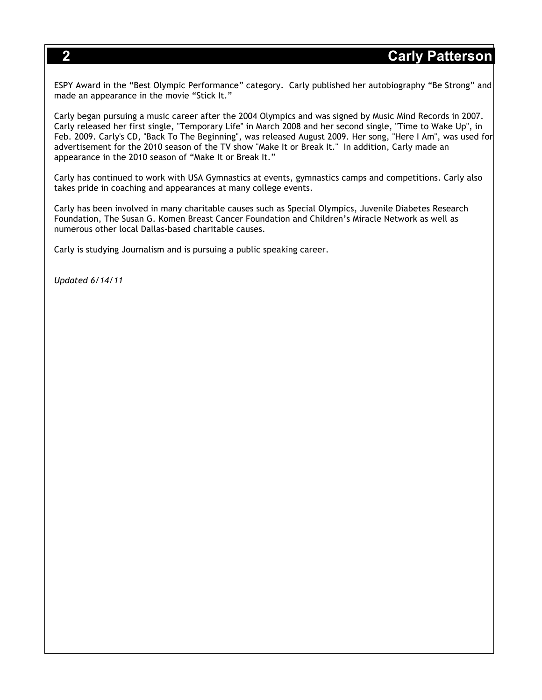ESPY Award in the "Best Olympic Performance" category. Carly published her autobiography "Be Strong" and made an appearance in the movie "Stick It."

Carly began pursuing a music career after the 2004 Olympics and was signed by Music Mind Records in 2007. Carly released her first single, "Temporary Life" in March 2008 and her second single, "Time to Wake Up", in Feb. 2009. Carly's CD, "Back To The Beginning", was released August 2009. Her song, "Here I Am", was used for advertisement for the 2010 season of the TV show "Make It or Break It." In addition, Carly made an appearance in the 2010 season of "Make It or Break It."

Carly has continued to work with USA Gymnastics at events, gymnastics camps and competitions. Carly also takes pride in coaching and appearances at many college events.

Carly has been involved in many charitable causes such as Special Olympics, Juvenile Diabetes Research Foundation, The Susan G. Komen Breast Cancer Foundation and Children's Miracle Network as well as numerous other local Dallas-based charitable causes.

Carly is studying Journalism and is pursuing a public speaking career.

*Updated 6/14/11*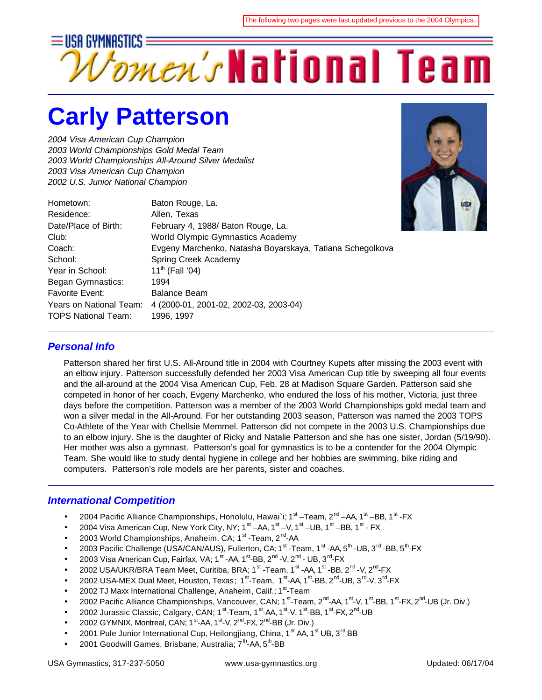

# **Carly Patterson**

*2004 Visa American Cup Champion 2003 World Championships Gold Medal Team 2003 World Championships All-Around Silver Medalist 2003 Visa American Cup Champion 2002 U.S. Junior National Champion*

| Hometown:                  | Baton Rouge, La.                                          |
|----------------------------|-----------------------------------------------------------|
| Residence:                 | Allen, Texas                                              |
| Date/Place of Birth:       | February 4, 1988/ Baton Rouge, La.                        |
| Club:                      | World Olympic Gymnastics Academy                          |
| Coach:                     | Evgeny Marchenko, Natasha Boyarskaya, Tatiana Schegolkova |
| School:                    | Spring Creek Academy                                      |
| Year in School:            | $11^{th}$ (Fall '04)                                      |
| Began Gymnastics:          | 1994                                                      |
| <b>Favorite Event:</b>     | <b>Balance Beam</b>                                       |
| Years on National Team:    | 4 (2000-01, 2001-02, 2002-03, 2003-04)                    |
| <b>TOPS National Team:</b> | 1996, 1997                                                |
|                            |                                                           |



## *Personal Info*

Patterson shared her first U.S. All-Around title in 2004 with Courtney Kupets after missing the 2003 event with an elbow injury. Patterson successfully defended her 2003 Visa American Cup title by sweeping all four events and the all-around at the 2004 Visa American Cup, Feb. 28 at Madison Square Garden. Patterson said she competed in honor of her coach, Evgeny Marchenko, who endured the loss of his mother, Victoria, just three days before the competition. Patterson was a member of the 2003 World Championships gold medal team and won a silver medal in the All-Around. For her outstanding 2003 season, Patterson was named the 2003 TOPS Co-Athlete of the Year with Chellsie Memmel. Patterson did not compete in the 2003 U.S. Championships due to an elbow injury. She is the daughter of Ricky and Natalie Patterson and she has one sister, Jordan (5/19/90). Her mother was also a gymnast. Patterson's goal for gymnastics is to be a contender for the 2004 Olympic Team. She would like to study dental hygiene in college and her hobbies are swimming, bike riding and computers. Patterson's role models are her parents, sister and coaches.

### *International Competition*

- 2004 Pacific Alliance Championships, Honolulu, Hawai`i; 1<sup>st</sup> –Team, 2<sup>nd</sup> –AA, 1<sup>st</sup> –BB, 1<sup>st</sup> -FX
- 2004 Visa American Cup, New York City, NY; 1<sup>st</sup> –AA, 1<sup>st</sup> –V, 1<sup>st</sup> –UB, 1<sup>st</sup> –BB, 1<sup>st</sup> FX
- 2003 World Championships, Anaheim, CA; 1<sup>st</sup> -Team, 2<sup>nd</sup>-AA
- 2003 Pacific Challenge (USA/CAN/AUS), Fullerton, CA; 1<sup>st</sup> -Team, 1<sup>st</sup> -AA, 5<sup>th</sup> -UB, 3<sup>rd</sup> -BB, 5<sup>th</sup>-FX
- 2003 Visa American Cup, Fairfax, VA; 1<sup>st</sup> -AA, 1<sup>st</sup>-BB, 2<sup>nd</sup> -V, 2<sup>nd</sup> UB, 3<sup>rd</sup>-FX
- 2002 USA/UKR/BRA Team Meet, Curitiba, BRA; 1<sup>st</sup> -Team, 1<sup>st</sup> -AA, 1<sup>st</sup> -BB, 2<sup>nd</sup> -V, 2<sup>nd</sup>-FX
- 2002 USA-MEX Dual Meet, Houston, Texas; 1<sup>st</sup>-Team, 1<sup>st</sup>-AA, 1<sup>st</sup>-BB, 2<sup>nd</sup>-UB, 3<sup>rd</sup>-V, 3<sup>rd</sup>-FX
- 2002 TJ Maxx International Challenge, Anaheim, Calif.; 1<sup>st</sup>-Team
- 2002 Pacific Alliance Championships, Vancouver, CAN; 1<sup>st</sup>-Team, 2<sup>nd</sup>-AA, 1<sup>st</sup>-V, 1<sup>st</sup>-BB, 1<sup>st</sup>-FX, 2<sup>nd</sup>-UB (Jr. Div.)
- 2002 Jurassic Classic, Calgary, CAN; 1<sup>st</sup>-Team, 1<sup>st</sup>-AA, 1<sup>st</sup>-V, 1<sup>st</sup>-BB, 1<sup>st</sup>-FX, 2<sup>nd</sup>-UB
- 2002 GYMNIX, Montreal, CAN; 1<sup>st</sup>-AA, 1<sup>st</sup>-V, 2<sup>nd</sup>-FX, 2<sup>nd</sup>-BB (Jr. Div.)
- 2001 Pule Junior International Cup, Heilongjiang, China, 1<sup>st</sup> AA, 1<sup>st</sup> UB, 3<sup>rd</sup> BB
- 2001 Goodwill Games, Brisbane, Australia; 7<sup>th</sup>-AA, 5<sup>th</sup>-BB